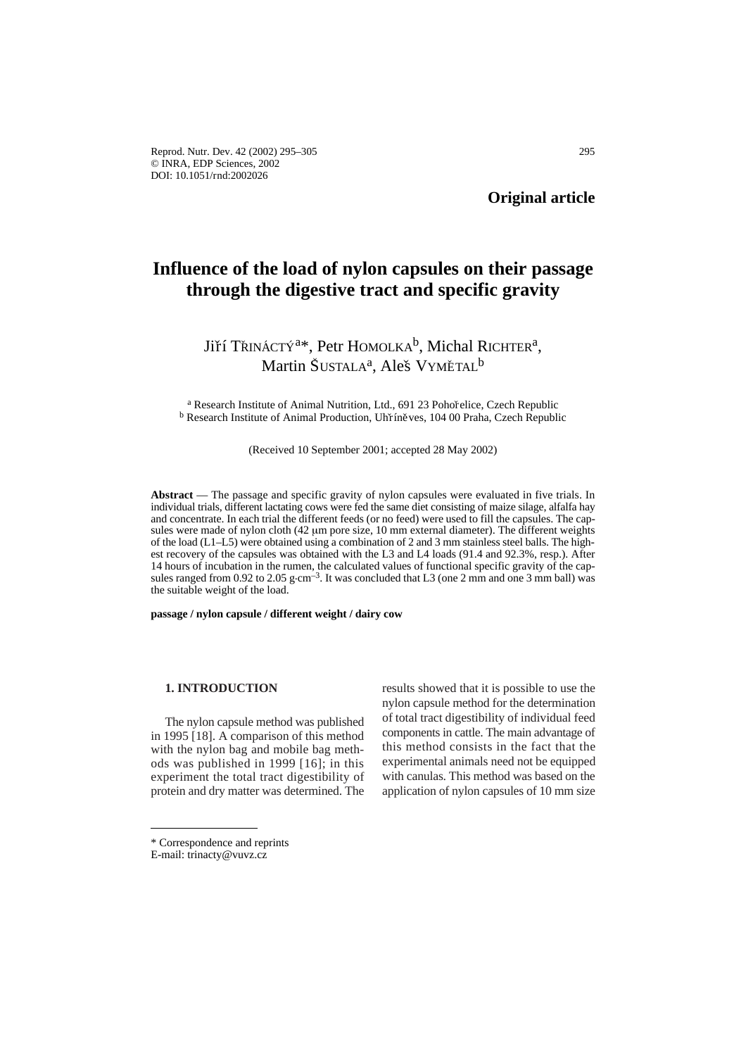# **Influence of the load of nylon capsules on their passage through the digestive tract and specific gravity**

# Jiří Třináctý<sup>a\*</sup>, Petr Homolka<sup>b</sup>, Michal Richter<sup>a</sup>,<br>Martin Šustal a<sup>a</sup> Aleš Vymětai <sup>b</sup> Martin ŠUSTALA<sup>a</sup>, Aleš VYMĚTAL<sup>b</sup>

<sup>a</sup> Research Institute of Animal Nutrition, Ltd., 691 23 Pohořelice, Czech Republic <sup>b</sup> Research Institute of Animal Production, Uhříněves, 104 00 Praha, Czech Republic

(Received 10 September 2001; accepted 28 May 2002)

**Abstract** — The passage and specific gravity of nylon capsules were evaluated in five trials. In individual trials, different lactating cows were fed the same diet consisting of maize silage, alfalfa hay and concentrate. In each trial the different feeds (or no feed) were used to fill the capsules. The capsules were made of nylon cloth (42  $\mu$ m pore size, 10 mm external diameter). The different weights of the load (L1–L5) were obtained using a combination of 2 and 3 mm stainless steel balls. The highest recovery of the capsules was obtained with the L3 and L4 loads (91.4 and 92.3%, resp.). After 14 hours of incubation in the rumen, the calculated values of functional specific gravity of the capsules ranged from 0.92 to 2.05  $g \text{ cm}^{-3}$ . It was concluded that L3 (one 2 mm and one 3 mm ball) was the suitable weight of the load.

**passage / nylon capsule / different weight / dairy cow** 

#### **1. INTRODUCTION**

The nylon capsule method was published in 1995 [18]. A comparison of this method with the nylon bag and mobile bag methods was published in 1999 [16]; in this experiment the total tract digestibility of protein and dry matter was determined. The results showed that it is possible to use the nylon capsule method for the determination of total tract digestibility of individual feed components in cattle. The main advantage of this method consists in the fact that the experimental animals need not be equipped with canulas. This method was based on the application of nylon capsules of 10 mm size

<sup>\*</sup> Correspondence and reprints

E-mail: trinacty@vuvz.cz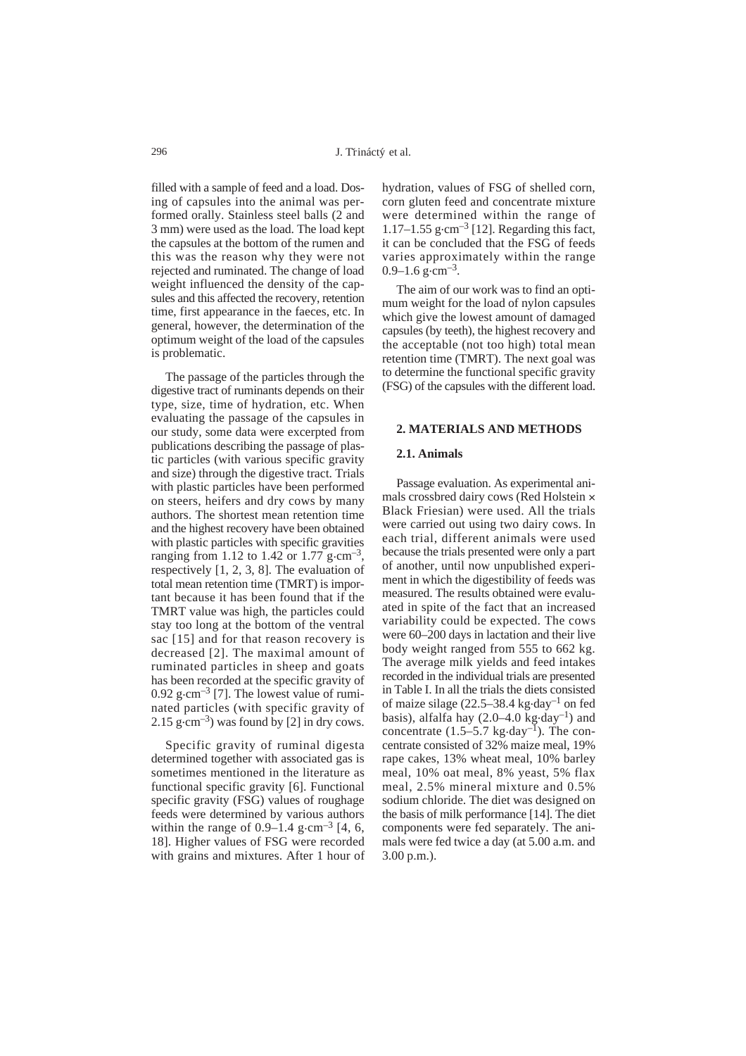filled with a sample of feed and a load. Dosing of capsules into the animal was performed orally. Stainless steel balls (2 and 3 mm) were used as the load. The load kept the capsules at the bottom of the rumen and this was the reason why they were not rejected and ruminated. The change of load weight influenced the density of the capsules and this affected the recovery, retention time, first appearance in the faeces, etc. In general, however, the determination of the optimum weight of the load of the capsules is problematic.

The passage of the particles through the digestive tract of ruminants depends on their type, size, time of hydration, etc. When evaluating the passage of the capsules in our study, some data were excerpted from publications describing the passage of plastic particles (with various specific gravity and size) through the digestive tract. Trials with plastic particles have been performed on steers, heifers and dry cows by many authors. The shortest mean retention time and the highest recovery have been obtained with plastic particles with specific gravities ranging from 1.12 to 1.42 or 1.77 g $\cdot$ cm<sup>-3</sup>, respectively [1, 2, 3, 8]. The evaluation of total mean retention time (TMRT) is important because it has been found that if the TMRT value was high, the particles could stay too long at the bottom of the ventral sac [15] and for that reason recovery is decreased [2]. The maximal amount of ruminated particles in sheep and goats has been recorded at the specific gravity of  $0.92$  g $\cdot$ cm<sup>-3</sup> [7]. The lowest value of ruminated particles (with specific gravity of 2.15 g·cm<sup>-3</sup>) was found by [2] in dry cows.

Specific gravity of ruminal digesta determined together with associated gas is sometimes mentioned in the literature as functional specific gravity [6]. Functional specific gravity (FSG) values of roughage feeds were determined by various authors within the range of  $0.9-1.4$  g $\cdot$ cm<sup>-3</sup> [4, 6, 18]. Higher values of FSG were recorded with grains and mixtures. After 1 hour of hydration, values of FSG of shelled corn, corn gluten feed and concentrate mixture were determined within the range of 1.17–1.55 g $\cdot$ cm<sup>-3</sup> [12]. Regarding this fact, it can be concluded that the FSG of feeds varies approximately within the range  $0.9-1.6$  g $\cdot$ cm<sup>-3</sup>.

The aim of our work was to find an optimum weight for the load of nylon capsules which give the lowest amount of damaged capsules (by teeth), the highest recovery and the acceptable (not too high) total mean retention time (TMRT). The next goal was to determine the functional specific gravity (FSG) of the capsules with the different load.

#### **2. MATERIALS AND METHODS**

#### **2.1. Animals**

Passage evaluation. As experimental animals crossbred dairy cows (Red Holstein ´ Black Friesian) were used. All the trials were carried out using two dairy cows. In each trial, different animals were used because the trials presented were only a part of another, until now unpublished experiment in which the digestibility of feeds was measured. The results obtained were evaluated in spite of the fact that an increased variability could be expected. The cows were 60–200 days in lactation and their live body weight ranged from 555 to 662 kg. The average milk yields and feed intakes recorded in the individual trials are presented in Table I. In all the trials the diets consisted of maize silage  $(22.5-38.4 \text{ kg day}^{-1})$  on fed basis), alfalfa hay  $(2.0-4.0 \text{ kg day}^{-1})$  and concentrate  $(1.5-5.7 \text{ kg day}^{-1})$ . The concentrate consisted of 32% maize meal, 19% rape cakes, 13% wheat meal, 10% barley meal, 10% oat meal, 8% yeast, 5% flax meal, 2.5% mineral mixture and 0.5% sodium chloride. The diet was designed on the basis of milk performance [14]. The diet components were fed separately. The animals were fed twice a day (at 5.00 a.m. and 3.00 p.m.).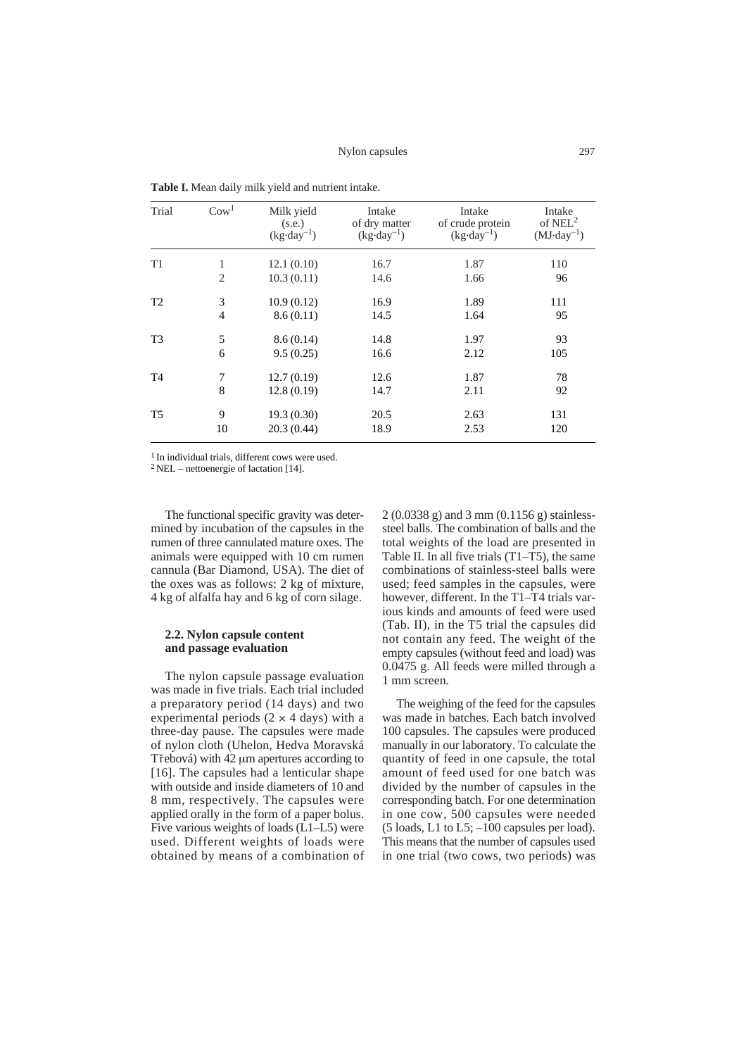| Trial          | $\mathrm{Cow}^1$ | Milk yield<br>(s.e.)<br>$(kg \cdot day^{-1})$ | Intake<br>of dry matter<br>$(kg \cdot day^{-1})$ | Intake<br>of crude protein<br>$(kg \cdot day^{-1})$ | Intake<br>of $NEL^2$<br>$(MJ \cdot day^{-1})$ |
|----------------|------------------|-----------------------------------------------|--------------------------------------------------|-----------------------------------------------------|-----------------------------------------------|
| T1             | 1                | 12.1(0.10)                                    | 16.7                                             | 1.87                                                | 110                                           |
|                | $\overline{2}$   | 10.3(0.11)                                    | 14.6                                             | 1.66                                                | 96                                            |
| T <sub>2</sub> | 3                | 10.9(0.12)                                    | 16.9                                             | 1.89                                                | 111                                           |
|                | $\overline{4}$   | 8.6(0.11)                                     | 14.5                                             | 1.64                                                | 95                                            |
| T <sub>3</sub> | 5                | 8.6(0.14)                                     | 14.8                                             | 1.97                                                | 93                                            |
|                | 6                | 9.5(0.25)                                     | 16.6                                             | 2.12                                                | 105                                           |
| T <sub>4</sub> | 7                | 12.7(0.19)                                    | 12.6                                             | 1.87                                                | 78                                            |
|                | 8                | 12.8(0.19)                                    | 14.7                                             | 2.11                                                | 92                                            |
| T <sub>5</sub> | 9                | 19.3(0.30)                                    | 20.5                                             | 2.63                                                | 131                                           |
|                | 10               | 20.3(0.44)                                    | 18.9                                             | 2.53                                                | 120                                           |

**Table I.** Mean daily milk yield and nutrient intake.

<sup>1</sup> In individual trials, different cows were used.

 $2$  NEL – nettoenergie of lactation [14].

The functional specific gravity was determined by incubation of the capsules in the rumen of three cannulated mature oxes. The animals were equipped with 10 cm rumen cannula (Bar Diamond, USA). The diet of the oxes was as follows: 2 kg of mixture, 4 kg of alfalfa hay and 6 kg of corn silage.

## **2.2. Nylon capsule content and passage evaluation**

The nylon capsule passage evaluation was made in five trials. Each trial included a preparatory period (14 days) and two experimental periods  $(2 \times 4 \text{ days})$  with a three-day pause. The capsules were made of nylon cloth (Uhelon, Hedva Moravská Třebová) with 42 µm apertures according to [16]. The capsules had a lenticular shape with outside and inside diameters of 10 and 8 mm, respectively. The capsules were applied orally in the form of a paper bolus. Five various weights of loads (L1–L5) were used. Different weights of loads were obtained by means of a combination of 2 (0.0338 g) and 3 mm (0.1156 g) stainlesssteel balls. The combination of balls and the total weights of the load are presented in Table II. In all five trials  $(T1-\overline{T5})$ , the same combinations of stainless-steel balls were used; feed samples in the capsules, were however, different. In the T1–T4 trials various kinds and amounts of feed were used (Tab. II), in the T5 trial the capsules did not contain any feed. The weight of the empty capsules (without feed and load) was 0.0475 g. All feeds were milled through a 1 mm screen.

The weighing of the feed for the capsules was made in batches. Each batch involved 100 capsules. The capsules were produced manually in our laboratory. To calculate the quantity of feed in one capsule, the total amount of feed used for one batch was divided by the number of capsules in the corresponding batch. For one determination in one cow, 500 capsules were needed (5 loads, L1 to L5; –100 capsules per load). This means that the number of capsules used in one trial (two cows, two periods) was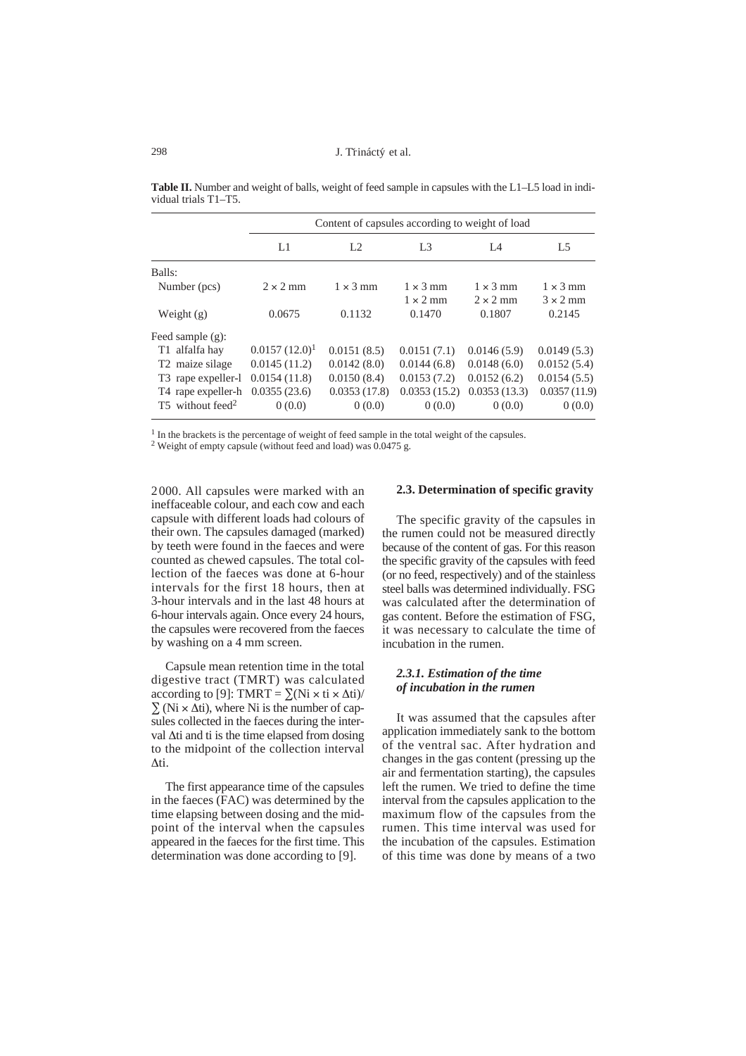|                                |                  | Content of capsules according to weight of load |                 |                 |                 |  |  |
|--------------------------------|------------------|-------------------------------------------------|-----------------|-----------------|-----------------|--|--|
|                                | L1               | L <sub>2</sub>                                  | L <sub>3</sub>  | IA              | L <sub>5</sub>  |  |  |
| Balls:                         |                  |                                                 |                 |                 |                 |  |  |
| Number (pcs)                   | $2 \times 2$ mm  | $1 \times 3$ mm                                 | $1 \times 3$ mm | $1 \times 3$ mm | $1 \times 3$ mm |  |  |
|                                |                  |                                                 | $1 \times 2$ mm | $2 \times 2$ mm | $3 \times 2$ mm |  |  |
| Weight $(g)$                   | 0.0675           | 0.1132                                          | 0.1470          | 0.1807          | 0.2145          |  |  |
| Feed sample $(g)$ :            |                  |                                                 |                 |                 |                 |  |  |
| T1 alfalfa hay                 | $0.0157(12.0)^1$ | 0.0151(8.5)                                     | 0.0151(7.1)     | 0.0146(5.9)     | 0.0149(5.3)     |  |  |
| T <sub>2</sub> maize silage    | 0.0145(11.2)     | 0.0142(8.0)                                     | 0.0144(6.8)     | 0.0148(6.0)     | 0.0152(5.4)     |  |  |
| T <sub>3</sub> rape expeller-1 | 0.0154(11.8)     | 0.0150(8.4)                                     | 0.0153(7.2)     | 0.0152(6.2)     | 0.0154(5.5)     |  |  |
| T <sub>4</sub> rape expeller-h | 0.0355(23.6)     | 0.0353(17.8)                                    | 0.0353(15.2)    | 0.0353(13.3)    | 0.0357(11.9)    |  |  |
| T5 without feed <sup>2</sup>   | 0(0.0)           | 0(0.0)                                          | 0(0.0)          | 0(0.0)          | 0(0.0)          |  |  |

**Table II.** Number and weight of balls, weight of feed sample in capsules with the L1–L5 load in individual trials T1–T5.

<sup>1</sup> In the brackets is the percentage of weight of feed sample in the total weight of the capsules.

<sup>2</sup> Weight of empty capsule (without feed and load) was  $0.0475$  g.

2000. All capsules were marked with an ineffaceable colour, and each cow and each capsule with different loads had colours of their own. The capsules damaged (marked) by teeth were found in the faeces and were counted as chewed capsules. The total collection of the faeces was done at 6-hour intervals for the first 18 hours, then at 3-hour intervals and in the last 48 hours at 6-hour intervals again. Once every 24 hours, the capsules were recovered from the faeces by washing on a 4 mm screen.

Capsule mean retention time in the total digestive tract (TMRT) was calculated according to [9]: TMRT =  $\Sigma(Ni \times ti \times \Delta ti)$ /  $\Sigma$  (Ni  $\times$   $\Delta$ ti), where Ni is the number of capsules collected in the faeces during the interval  $\Delta t$  and ti is the time elapsed from dosing to the midpoint of the collection interval Δti.

The first appearance time of the capsules in the faeces (FAC) was determined by the time elapsing between dosing and the midpoint of the interval when the capsules appeared in the faeces for the first time. This determination was done according to [9].

## **2.3. Determination of specific gravity**

The specific gravity of the capsules in the rumen could not be measured directly because of the content of gas. For this reason the specific gravity of the capsules with feed (or no feed, respectively) and of the stainless steel balls was determined individually. FSG was calculated after the determination of gas content. Before the estimation of FSG, it was necessary to calculate the time of incubation in the rumen.

### *2.3.1. Estimation of the time of incubation in the rumen*

It was assumed that the capsules after application immediately sank to the bottom of the ventral sac. After hydration and changes in the gas content (pressing up the air and fermentation starting), the capsules left the rumen. We tried to define the time interval from the capsules application to the maximum flow of the capsules from the rumen. This time interval was used for the incubation of the capsules. Estimation of this time was done by means of a two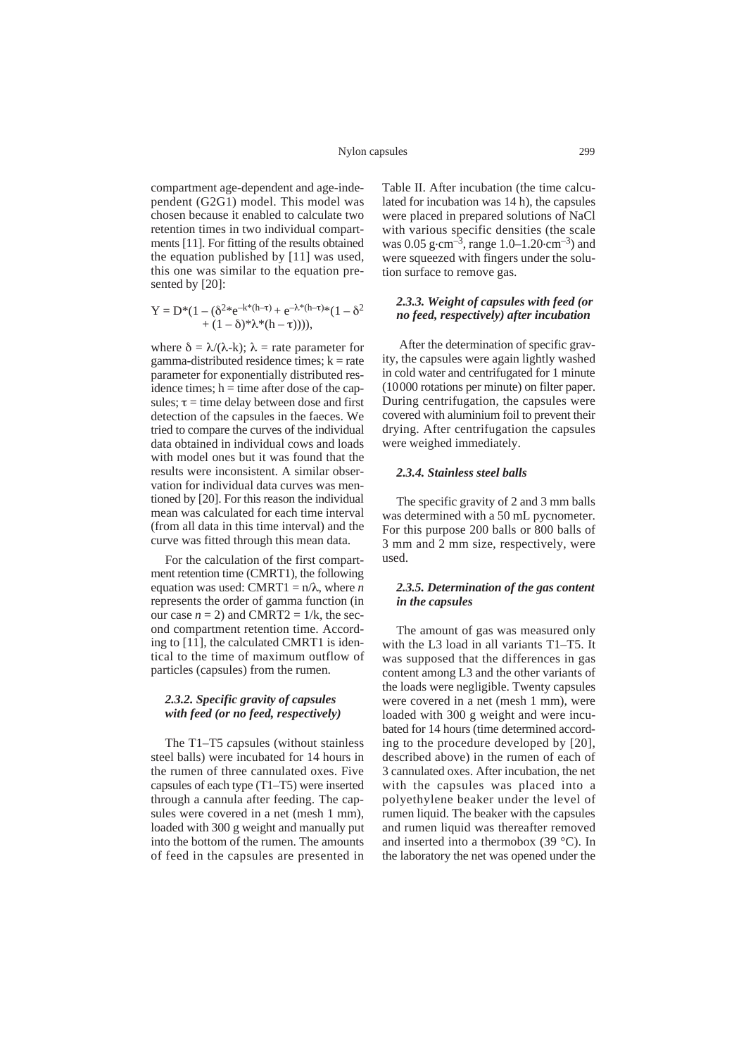compartment age-dependent and age-independent (G2G1) model. This model was chosen because it enabled to calculate two retention times in two individual compartments [11]. For fitting of the results obtained the equation published by [11] was used, this one was similar to the equation presented by [20]:

$$
Y=D^*(1-(\delta^{2*}e^{-k^*(h-\tau)}+e^{-\lambda^*(h-\tau)*}(1-\delta^2\\+(1-\delta)^*\lambda^*(h-\tau)))),
$$

where  $\delta = \lambda/(\lambda-k)$ ;  $\lambda$  = rate parameter for gamma-distributed residence times;  $k = rate$ parameter for exponentially distributed residence times;  $h =$  time after dose of the capsules;  $\tau$  = time delay between dose and first detection of the capsules in the faeces. We tried to compare the curves of the individual data obtained in individual cows and loads with model ones but it was found that the results were inconsistent. A similar observation for individual data curves was mentioned by [20]. For this reason the individual mean was calculated for each time interval (from all data in this time interval) and the curve was fitted through this mean data.

For the calculation of the first compartment retention time (CMRT1), the following equation was used: CMRT1 =  $n/\lambda$ , where *n* represents the order of gamma function (in our case  $n = 2$ ) and CMRT2 = 1/k, the second compartment retention time. According to [11], the calculated CMRT1 is identical to the time of maximum outflow of particles (capsules) from the rumen.

#### *2.3.2. Specific gravity of capsules with feed (or no feed, respectively)*

The T1–T5 *c*apsules (without stainless steel balls) were incubated for 14 hours in the rumen of three cannulated oxes. Five capsules of each type (T1–T5) were inserted through a cannula after feeding. The capsules were covered in a net (mesh 1 mm), loaded with 300 g weight and manually put into the bottom of the rumen. The amounts of feed in the capsules are presented in

Table II. After incubation (the time calculated for incubation was 14 h), the capsules were placed in prepared solutions of NaCl with various specific densities (the scale was 0.05 g·cm<sup>-3</sup>, range 1.0–1.20·cm<sup>-3</sup>) and were squeezed with fingers under the solution surface to remove gas.

## *2.3.3. Weight of capsules with feed (or no feed, respectively) after incubation*

After the determination of specific gravity, the capsules were again lightly washed in cold water and centrifugated for 1 minute (10000 rotations per minute) on filter paper. During centrifugation, the capsules were covered with aluminium foil to prevent their drying. After centrifugation the capsules were weighed immediately.

## *2.3.4. Stainless steel balls*

The specific gravity of 2 and 3 mm balls was determined with a 50 mL pycnometer. For this purpose 200 balls or 800 balls of 3 mm and 2 mm size, respectively, were used.

## *2.3.5. Determination of the gas content in the capsules*

The amount of gas was measured only with the L3 load in all variants T1–T5. It was supposed that the differences in gas content among L3 and the other variants of the loads were negligible. Twenty capsules were covered in a net (mesh 1 mm), were loaded with 300 g weight and were incubated for 14 hours (time determined according to the procedure developed by [20], described above) in the rumen of each of 3 cannulated oxes. After incubation, the net with the capsules was placed into a polyethylene beaker under the level of rumen liquid. The beaker with the capsules and rumen liquid was thereafter removed and inserted into a thermobox (39 °C). In the laboratory the net was opened under the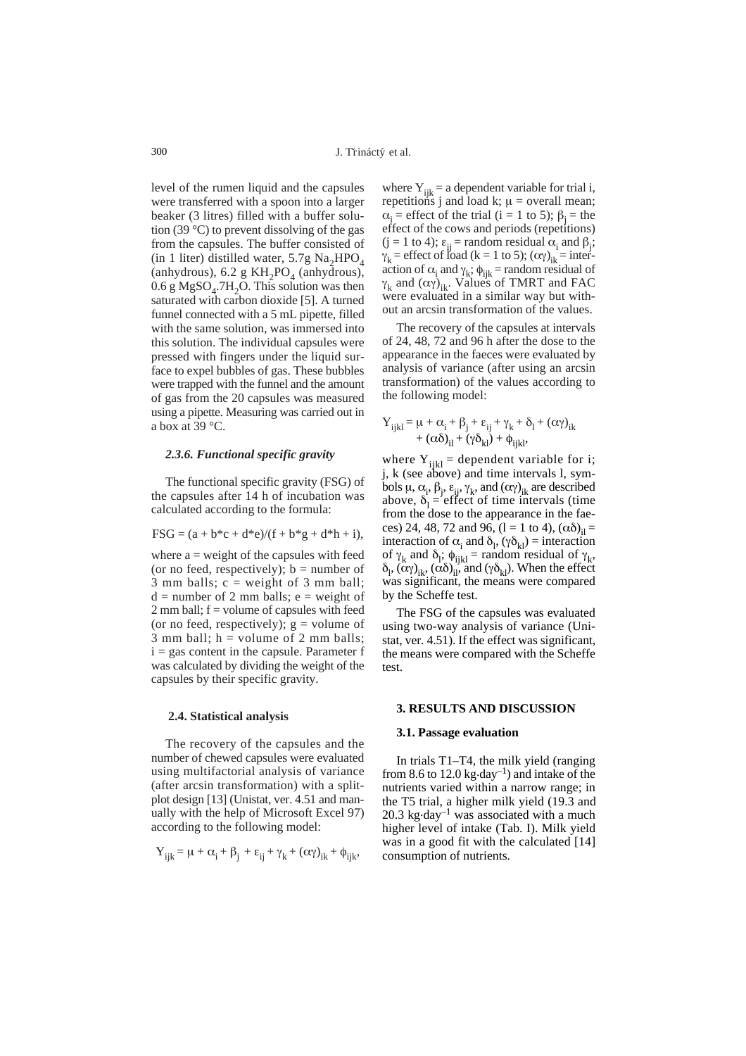level of the rumen liquid and the capsules were transferred with a spoon into a larger beaker (3 litres) filled with a buffer solution (39 °C) to prevent dissolving of the gas from the capsules. The buffer consisted of (in 1 liter) distilled water, 5.7g  $Na<sub>2</sub>HPO<sub>4</sub>$ (anhydrous), 6.2 g KH<sub>2</sub>PO<sub>4</sub> (anhydrous),  $0.6$  g MgSO<sub>4</sub>.7H<sub>2</sub>O. This solution was then saturated with carbon dioxide [5]. A turned funnel connected with a 5 mL pipette, filled with the same solution, was immersed into this solution. The individual capsules were pressed with fingers under the liquid surface to expel bubbles of gas. These bubbles were trapped with the funnel and the amount of gas from the 20 capsules was measured using a pipette. Measuring was carried out in a box at  $39^{\circ}$ C.

#### *2.3.6. Functional specific gravity*

The functional specific gravity (FSG) of the capsules after 14 h of incubation was calculated according to the formula:

$$
FSG = (a + b * c + d * e) / (f + b * g + d * h + i),
$$

where  $a = weight of the capsules with feed$ (or no feed, respectively);  $b =$  number of 3 mm balls;  $c = weight of 3 mm ball;$  $d =$  number of 2 mm balls;  $e =$  weight of  $2 \text{ mm ball}$ ;  $f =$  volume of capsules with feed (or no feed, respectively);  $g =$  volume of 3 mm ball;  $h =$  volume of 2 mm balls;  $i = gas$  content in the capsule. Parameter f was calculated by dividing the weight of the capsules by their specific gravity.

#### **2.4. Statistical analysis**

The recovery of the capsules and the number of chewed capsules were evaluated using multifactorial analysis of variance (after arcsin transformation) with a splitplot design [13] (Unistat, ver. 4.51 and manually with the help of Microsoft Excel 97) according to the following model:

$$
Y_{ijk} = \mu + \alpha_i + \beta_j + \epsilon_{ij} + \gamma_k + (\alpha \gamma)_{ik} + \phi_{ijk},
$$

where  $Y_{ijk} = a$  dependent variable for trial i, repetitions j and load k;  $\mu$  = overall mean;  $\alpha_i$  = effect of the trial (i = 1 to 5);  $\beta_i$  = the effect of the cows and periods (repetitions)  $(j = 1 \text{ to } 4); \varepsilon_{ij} = \text{random residual } \alpha_i \text{ and } \beta_j;$  $\gamma_k$  = effect of load (k = 1 to 5); ( $\alpha \gamma_{ik}$  = interaction of  $\alpha_i$  and  $\gamma_k$ ;  $\phi_{ijk}$  = random residual of  $\gamma_k$  and  $(\alpha \gamma)_{ik}$ . Values of TMRT and FAC were evaluated in a similar way but without an arcsin transformation of the values.

The recovery of the capsules at intervals of 24, 48, 72 and 96 h after the dose to the appearance in the faeces were evaluated by analysis of variance (after using an arcsin transformation) of the values according to the following model:

$$
Y_{ijkl} = \mu + \alpha_i + \beta_j + \epsilon_{ij} + \gamma_k + \delta_l + (\alpha \gamma)_{ik} + (\alpha \delta)_{il} + (\gamma \delta_{kl}) + \phi_{ijkl},
$$

where  $Y_{ijkl}$  = dependent variable for i; j, k (see above) and time intervals l, symbols  $\mu$ ,  $\alpha$ <sub>i</sub>,  $\beta$ <sub>j</sub>,  $\varepsilon$ <sub>ij</sub>,  $\gamma$ <sub>k</sub>, and  $(\alpha \gamma)$ <sub>ik</sub> are described above,  $\delta_1$  = effect of time intervals (time from the dose to the appearance in the faeces) 24, 48, 72 and 96, (1 = 1 to 4),  $(\alpha \delta)_{il}$  = interaction of  $\alpha_i$  and  $\delta_l$ ,  $(\gamma \delta_{kl})$  = interaction of  $\gamma_k$  and  $\delta_l$ ;  $\phi_{ijkl}$  = random residual of  $\gamma_k$ ,  $\delta_l$ ,  $(\alpha \gamma)_{ik}$ ,  $(\alpha \delta)_{il}$ , and  $(\gamma \delta_{kl})$ . When the effect was significant, the means were compared by the Scheffe test.

The FSG of the capsules was evaluated using two-way analysis of variance (Unistat, ver. 4.51). If the effect was significant, the means were compared with the Scheffe test.

## **3. RESULTS AND DISCUSSION**

### **3.1. Passage evaluation**

In trials T1–T4, the milk yield (ranging from 8.6 to  $12.0 \text{ kg day}^{-1}$ ) and intake of the nutrients varied within a narrow range; in the T5 trial, a higher milk yield (19.3 and 20.3 kg $\cdot$ day<sup>-1</sup> was associated with a much higher level of intake (Tab. I). Milk yield was in a good fit with the calculated [14] consumption of nutrients.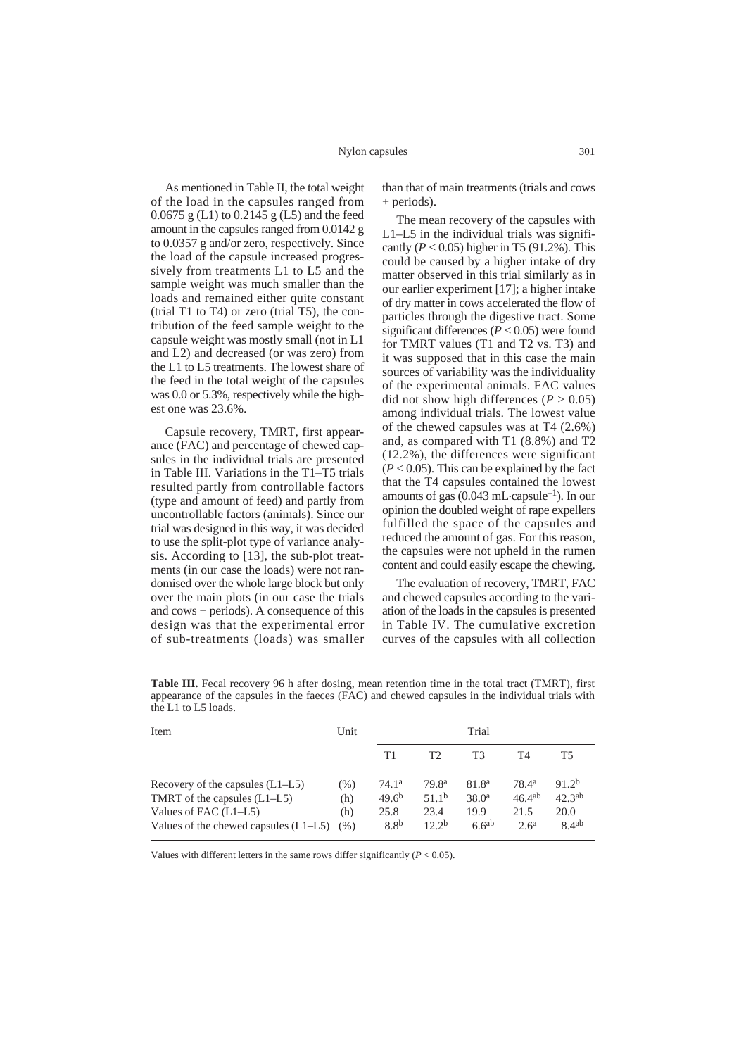#### Nylon capsules

As mentioned in Table II, the total weight of the load in the capsules ranged from 0.0675 g (L1) to 0.2145 g (L5) and the feed amount in the capsules ranged from 0.0142 g to 0.0357 g and/or zero, respectively. Since the load of the capsule increased progressively from treatments L1 to L5 and the sample weight was much smaller than the loads and remained either quite constant (trial T1 to T4) or zero (trial T5), the contribution of the feed sample weight to the capsule weight was mostly small (not in L1 and L2) and decreased (or was zero) from the L1 to L5 treatments. The lowest share of the feed in the total weight of the capsules was 0.0 or 5.3%, respectively while the highest one was 23.6%.

Capsule recovery, TMRT, first appearance (FAC) and percentage of chewed capsules in the individual trials are presented in Table III. Variations in the T1–T5 trials resulted partly from controllable factors (type and amount of feed) and partly from uncontrollable factors (animals). Since our trial was designed in this way, it was decided to use the split-plot type of variance analysis. According to [13], the sub-plot treatments (in our case the loads) were not randomised over the whole large block but only over the main plots (in our case the trials and cows + periods). A consequence of this design was that the experimental error of sub-treatments (loads) was smaller

than that of main treatments (trials and cows + periods).

The mean recovery of the capsules with L1–L5 in the individual trials was significantly  $(P < 0.05)$  higher in T5  $(91.2\%)$ . This could be caused by a higher intake of dry matter observed in this trial similarly as in our earlier experiment [17]; a higher intake of dry matter in cows accelerated the flow of particles through the digestive tract. Some significant differences  $(P < 0.05)$  were found for TMRT values (T1 and T2 vs. T3) and it was supposed that in this case the main sources of variability was the individuality of the experimental animals. FAC values did not show high differences ( $P > 0.05$ ) among individual trials. The lowest value of the chewed capsules was at T4 (2.6%) and, as compared with T1 (8.8%) and T2 (12.2%), the differences were significant  $(P < 0.05)$ . This can be explained by the fact that the T4 capsules contained the lowest amounts of gas  $(0.043 \text{ mL-capsule}^{-1})$ . In our opinion the doubled weight of rape expellers fulfilled the space of the capsules and reduced the amount of gas. For this reason, the capsules were not upheld in the rumen content and could easily escape the chewing.

The evaluation of recovery, TMRT, FAC and chewed capsules according to the variation of the loads in the capsules is presented in Table IV. The cumulative excretion curves of the capsules with all collection

| Item                                    |      |                   | Trial             |                   |                   |                    |  |
|-----------------------------------------|------|-------------------|-------------------|-------------------|-------------------|--------------------|--|
|                                         |      | Τ1                | T2                | T3                | T4                | Т5                 |  |
| Recovery of the capsules $(L1-L5)$      | (% ) | 74.1 <sup>a</sup> | 79.8 <sup>a</sup> | 81.8 <sup>a</sup> | 78.4 <sup>a</sup> | 91.2 <sup>b</sup>  |  |
| TMRT of the capsules $(L1-L5)$          | (h)  | $49.6^{b}$        | 51.1 <sup>b</sup> | 38.0 <sup>a</sup> | $46.4^{ab}$       | 42.3 <sup>ab</sup> |  |
| Values of FAC (L1–L5)                   | (h)  | 25.8              | 23.4              | 19.9              | 21.5              | 20.0               |  |
| Values of the chewed capsules $(L1-L5)$ | (% ) | 8.8 <sup>b</sup>  | 12.2 <sub>b</sub> | 6.6 <sup>ab</sup> | 2.6 <sup>a</sup>  | 8.4 <sup>ab</sup>  |  |

Table III. Fecal recovery 96 h after dosing, mean retention time in the total tract (TMRT), first appearance of the capsules in the faeces (FAC) and chewed capsules in the individual trials with the L1 to L5 loads.

Values with different letters in the same rows differ significantly  $(P < 0.05)$ .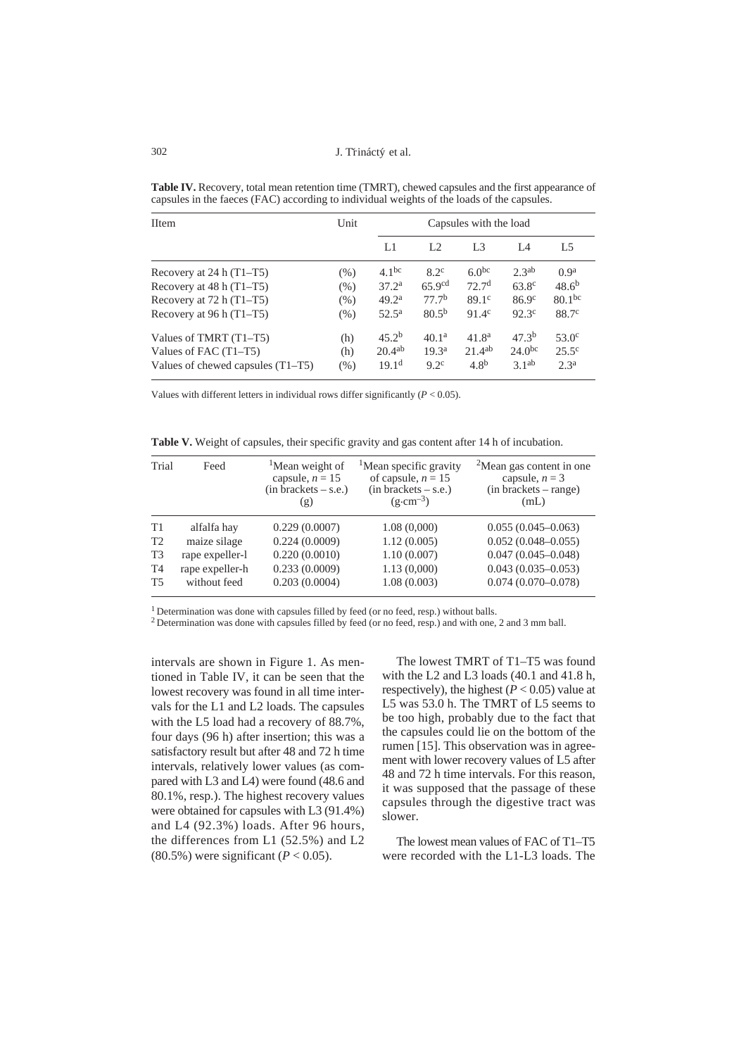J. Třináctý et al.

| <b>IItem</b>                        | Unit | Capsules with the load |                    |                   |                    |                   |
|-------------------------------------|------|------------------------|--------------------|-------------------|--------------------|-------------------|
|                                     |      | L1                     | L <sub>2</sub>     | L <sub>3</sub>    | IA                 | L <sub>5</sub>    |
| Recovery at $24 h (T1-T5)$          | (% ) | 4.1 <sup>bc</sup>      | $8.2^{\circ}$      | $6.0^{bc}$        | 2.3 <sup>ab</sup>  | 0.9 <sup>a</sup>  |
| Recovery at $48 h (T1-T5)$          | (% ) | 37.2 <sup>a</sup>      | 65.9 <sup>cd</sup> | 72.7 <sup>d</sup> | $63.8^{\circ}$     | $48.6^{b}$        |
| Recovery at $72 h (T1-T5)$          | (% ) | 49.2 <sup>a</sup>      | 77.7 <sup>b</sup>  | 89.1c             | 86.9c              | $80.1^{bc}$       |
| Recovery at 96 h (T1-T5)            | (% ) | $52.5^{\rm a}$         | $80.5^{b}$         | $91.4^{\circ}$    | $92.3^{\circ}$     | 88.7 <sup>c</sup> |
| Values of TMRT (T1–T5)              | (h)  | 45.2 <sup>b</sup>      | 40.1 <sup>a</sup>  | 41.8 <sup>a</sup> | 47.3 <sup>b</sup>  | $53.0^{\circ}$    |
| Values of FAC (T1–T5)               | (h)  | $20.4^{ab}$            | 19.3 <sup>a</sup>  | $21.4^{ab}$       | 24.0 <sup>bc</sup> | $25.5^{\circ}$    |
| Values of chewed capsules $(T1-T5)$ | (% ) | 19.1 <sup>d</sup>      | $9.2^{\circ}$      | 4.8 <sup>b</sup>  | 3.1 <sup>ab</sup>  | 2.3 <sup>a</sup>  |

**Table IV.** Recovery, total mean retention time (TMRT), chewed capsules and the first appearance of capsules in the faeces (FAC) according to individual weights of the loads of the capsules.

Values with different letters in individual rows differ significantly  $(P < 0.05)$ .

**Table V.** Weight of capsules, their specific gravity and gas content after 14 h of incubation.

| Trial          | Feed            | <sup>1</sup> Mean weight of<br>capsule, $n = 15$<br>$(in brackets - s.e.)$<br>(g) | <sup>1</sup> Mean specific gravity<br>of capsule, $n = 15$<br>$(in brackets - s.e.)$<br>$(g \cdot cm^{-3})$ | <sup>2</sup> Mean gas content in one<br>capsule, $n = 3$<br>$(in brackets - range)$<br>(mL) |
|----------------|-----------------|-----------------------------------------------------------------------------------|-------------------------------------------------------------------------------------------------------------|---------------------------------------------------------------------------------------------|
| T1             | alfalfa hay     | 0.229(0.0007)                                                                     | 1.08(0,000)                                                                                                 | $0.055(0.045-0.063)$                                                                        |
| T <sub>2</sub> | maize silage    | 0.224(0.0009)                                                                     | 1.12(0.005)                                                                                                 | $0.052(0.048 - 0.055)$                                                                      |
| T <sub>3</sub> | rape expeller-l | 0.220(0.0010)                                                                     | 1.10(0.007)                                                                                                 | $0.047(0.045 - 0.048)$                                                                      |
| T4             | rape expeller-h | 0.233(0.0009)                                                                     | 1.13(0,000)                                                                                                 | $0.043(0.035 - 0.053)$                                                                      |
| <b>T5</b>      | without feed    | 0.203(0.0004)                                                                     | 1.08(0.003)                                                                                                 | $0.074(0.070 - 0.078)$                                                                      |

<sup>1</sup> Determination was done with capsules filled by feed (or no feed, resp.) without balls.

2 Determination was done with capsules filled by feed (or no feed, resp.) and with one, 2 and 3 mm ball.

intervals are shown in Figure 1. As mentioned in Table IV, it can be seen that the lowest recovery was found in all time intervals for the L1 and L2 loads. The capsules with the L5 load had a recovery of 88.7%, four days (96 h) after insertion; this was a satisfactory result but after 48 and 72 h time intervals, relatively lower values (as compared with L3 and L4) were found (48.6 and 80.1%, resp.). The highest recovery values were obtained for capsules with L3 (91.4%) and L4 (92.3%) loads. After 96 hours, the differences from L1 (52.5%) and L2  $(80.5\%)$  were significant  $(P < 0.05)$ .

The lowest TMRT of T1–T5 was found with the L2 and L3 loads (40.1 and 41.8 h, respectively), the highest  $(P < 0.05)$  value at L5 was 53.0 h. The TMRT of L5 seems to be too high, probably due to the fact that the capsules could lie on the bottom of the rumen [15]. This observation was in agreement with lower recovery values of L5 after 48 and 72 h time intervals. For this reason, it was supposed that the passage of these capsules through the digestive tract was slower.

The lowest mean values of FAC of T1–T5 were recorded with the L1-L3 loads. The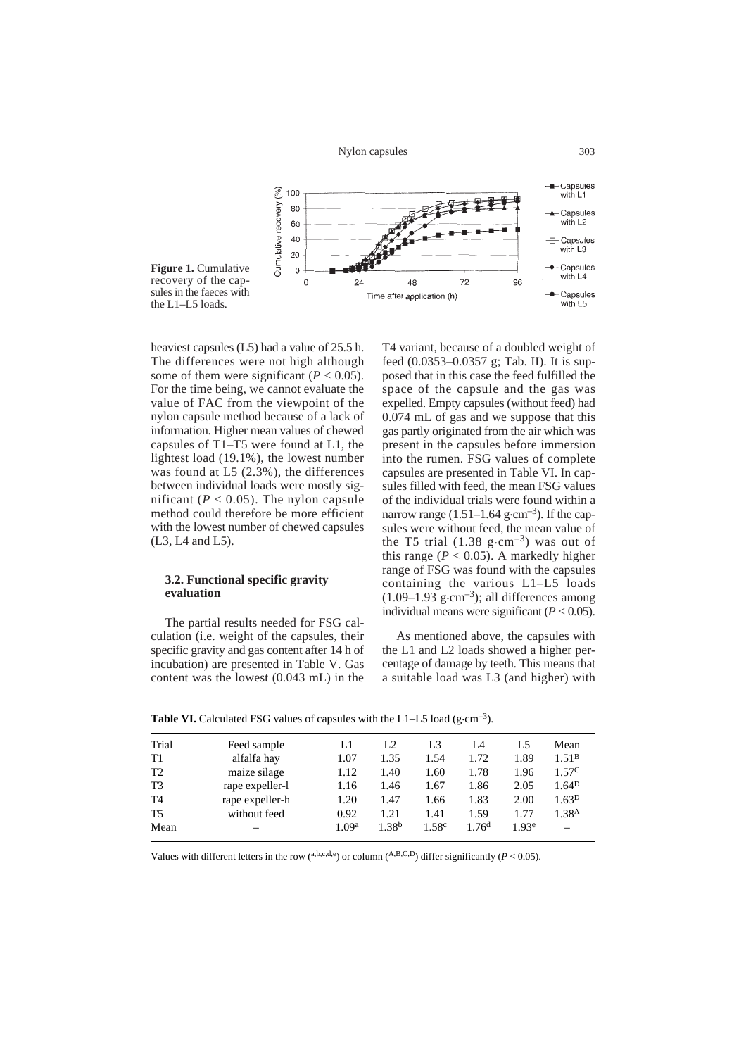Nylon capsules



heaviest capsules (L5) had a value of 25.5 h. The differences were not high although some of them were significant  $(P < 0.05)$ . For the time being, we cannot evaluate the value of FAC from the viewpoint of the nylon capsule method because of a lack of information. Higher mean values of chewed capsules of T1–T5 were found at L1, the lightest load (19.1%), the lowest number was found at L5 (2.3%), the differences between individual loads were mostly significant ( $P < 0.05$ ). The nylon capsule method could therefore be more efficient with the lowest number of chewed capsules (L3, L4 and L5).

### **3.2. Functional specific gravity evaluation**

The partial results needed for FSG calculation (i.e. weight of the capsules, their specific gravity and gas content after 14 h of incubation) are presented in Table V. Gas content was the lowest (0.043 mL) in the

T4 variant, because of a doubled weight of feed (0.0353–0.0357 g; Tab. II). It is supposed that in this case the feed fulfilled the space of the capsule and the gas was expelled. Empty capsules (without feed) had 0.074 mL of gas and we suppose that this gas partly originated from the air which was present in the capsules before immersion into the rumen. FSG values of complete capsules are presented in Table VI. In capsules filled with feed, the mean FSG values of the individual trials were found within a narrow range  $(1.51-1.64 \text{ g} \cdot \text{cm}^{-3})$ . If the capsules were without feed, the mean value of the T5 trial  $(1.38 \text{ g} \cdot \text{cm}^{-3})$  was out of this range ( $P < 0.05$ ). A markedly higher range of FSG was found with the capsules containing the various L1–L5 loads  $(1.09-1.93 \text{ g} \cdot \text{cm}^{-3})$ ; all differences among individual means were significant  $(P < 0.05)$ .

As mentioned above, the capsules with the L1 and L2 loads showed a higher percentage of damage by teeth. This means that a suitable load was L3 (and higher) with

| Trial          | Feed sample     | Ll                | L <sub>2</sub>    | L3                | L4               | L5                | Mean              |
|----------------|-----------------|-------------------|-------------------|-------------------|------------------|-------------------|-------------------|
| T1             | alfalfa hay     | 1.07              | 1.35              | 1.54              | 1.72             | 1.89              | 1.51 <sup>B</sup> |
| T <sub>2</sub> | maize silage    | 1.12              | 1.40              | 1.60              | 1.78             | 1.96              | 1.57 <sup>C</sup> |
| T <sub>3</sub> | rape expeller-l | 1.16              | 1.46              | 1.67              | 1.86             | 2.05              | 1.64 <sup>D</sup> |
| T4             | rape expeller-h | 1.20              | 1.47              | 1.66              | 1.83             | 2.00              | 1.63 <sup>D</sup> |
| T <sub>5</sub> | without feed    | 0.92              | 1.21              | 1.41              | 1.59             | 1.77              | 1.38 <sup>A</sup> |
| Mean           |                 | 1.09 <sup>a</sup> | 1.38 <sup>b</sup> | 1.58 <sup>c</sup> | 176 <sup>d</sup> | 1.93 <sup>e</sup> |                   |

**Table VI.** Calculated FSG values of capsules with the L1–L5 load  $(g \cdot cm^{-3})$ .

Values with different letters in the row (a,b,c,d,e) or column (A,B,C,D) differ significantly ( $P < 0.05$ ).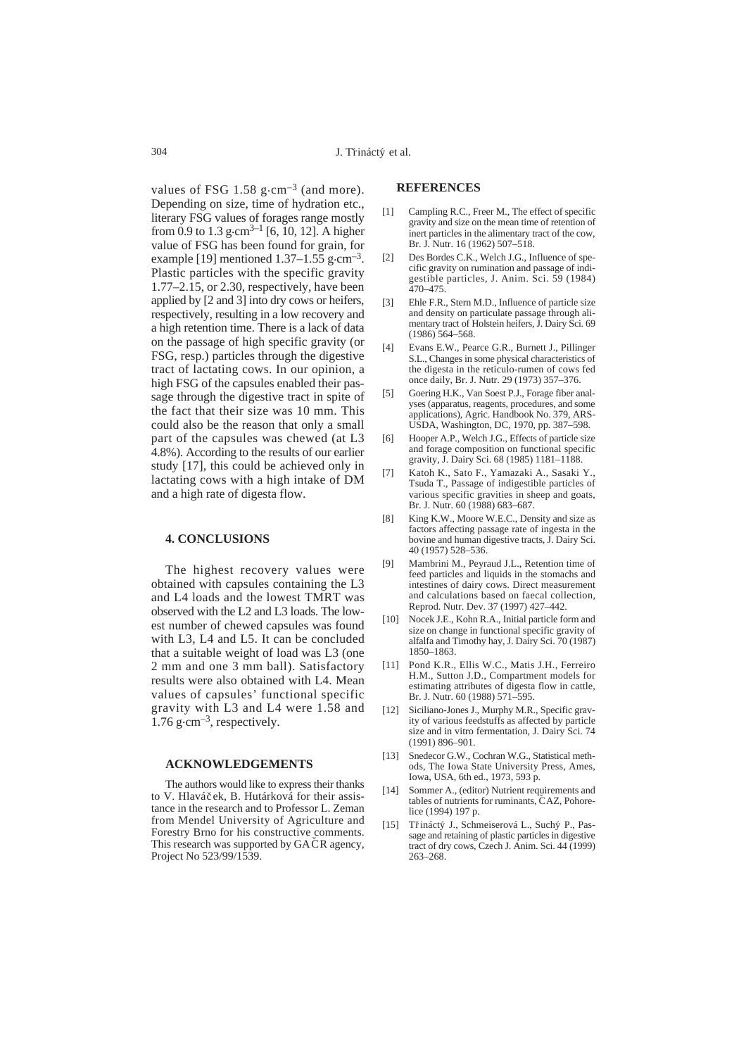values of FSG 1.58  $g \cdot cm^{-3}$  (and more). Depending on size, time of hydration etc., literary FSG values of forages range mostly from 0.9 to 1.3 g $\cdot$ cm<sup>3–1</sup> [6, 10, 12]. A higher value of FSG has been found for grain, for example [19] mentioned  $1.37-1.55$  g $\cdot$ cm<sup>-3</sup>. Plastic particles with the specific gravity 1.77–2.15, or 2.30, respectively, have been applied by [2 and 3] into dry cows or heifers, respectively, resulting in a low recovery and a high retention time. There is a lack of data on the passage of high specific gravity (or FSG, resp.) particles through the digestive tract of lactating cows. In our opinion, a high FSG of the capsules enabled their passage through the digestive tract in spite of the fact that their size was 10 mm. This could also be the reason that only a small part of the capsules was chewed (at L3 4.8%). According to the results of our earlier study [17], this could be achieved only in lactating cows with a high intake of DM and a high rate of digesta flow.

#### **4. CONCLUSIONS**

The highest recovery values were obtained with capsules containing the L3 and L4 loads and the lowest TMRT was observed with the L2 and L3 loads. The lowest number of chewed capsules was found with L3, L4 and L5. It can be concluded that a suitable weight of load was L3 (one 2 mm and one 3 mm ball). Satisfactory results were also obtained with L4. Mean values of capsules' functional specific gravity with L3 and L4 were 1.58 and  $1.76$  g $\cdot$ cm<sup>-3</sup>, respectively.

#### **ACKNOWLEDGEMENTS**

The authors would like to express their thanks to V. Hlaváček, B. Hutárková for their assistance in the research and to Professor L. Zeman from Mendel University of Agriculture and Forestry Brno for his constructive comments. This research was supported by GACR agency,<br>Proiect No 523/99/1539. Project No 523/99/1539.

#### **REFERENCES**

- [1] Campling R.C., Freer M., The effect of specific gravity and size on the mean time of retention of inert particles in the alimentary tract of the cow, Br. J. Nutr. 16 (1962) 507–518.
- [2] Des Bordes C.K., Welch J.G., Influence of specific gravity on rumination and passage of indigestible particles, J. Anim. Sci. 59 (1984) 470–475.
- [3] Ehle F.R., Stern M.D., Influence of particle size and density on particulate passage through alimentary tract of Holstein heifers, J. Dairy Sci. 69 (1986) 564–568.
- [4] Evans E.W., Pearce G.R., Burnett J., Pillinger S.L., Changes in some physical characteristics of the digesta in the reticulo-rumen of cows fed once daily, Br. J. Nutr. 29 (1973) 357–376.
- [5] Goering H.K., Van Soest P.J., Forage fiber analyses (apparatus, reagents, procedures, and some applications), Agric. Handbook No. 379, ARS-USDA, Washington, DC, 1970, pp. 387–598.
- [6] Hooper A.P., Welch J.G., Effects of particle size and forage composition on functional specific gravity, J. Dairy Sci. 68 (1985) 1181–1188.
- [7] Katoh K., Sato F., Yamazaki A., Sasaki Y., Tsuda T., Passage of indigestible particles of various specific gravities in sheep and goats, Br. J. Nutr. 60 (1988) 683–687.
- [8] King K.W., Moore W.E.C., Density and size as factors affecting passage rate of ingesta in the bovine and human digestive tracts, J. Dairy Sci. 40 (1957) 528–536.
- [9] Mambrini M., Peyraud J.L., Retention time of feed particles and liquids in the stomachs and intestines of dairy cows. Direct measurement and calculations based on faecal collection, Reprod. Nutr. Dev. 37 (1997) 427–442.
- [10] Nocek J.E., Kohn R.A., Initial particle form and size on change in functional specific gravity of alfalfa and Timothy hay, J. Dairy Sci. 70 (1987) 1850–1863.
- [11] Pond K.R., Ellis W.C., Matis J.H., Ferreiro H.M., Sutton J.D., Compartment models for estimating attributes of digesta flow in cattle, Br. J. Nutr. 60 (1988) 571–595.
- [12] Siciliano-Jones J., Murphy M.R., Specific gravity of various feedstuffs as affected by particle size and in vitro fermentation, J. Dairy Sci. 74 (1991) 896–901.
- [13] Snedecor G.W., Cochran W.G., Statistical methods, The Iowa State University Press, Ames, Iowa, USA, 6th ed., 1973, 593 p.
- [14] Sommer A., (editor) Nutrient requirements and tables of nutrients for ruminants, CAZ, Pohorelice (1994) 197 p.
- [15] Třináctý J., Schmeiserová L., Suchý P., Passage and retaining of plastic particles in digestive tract of dry cows, Czech J. Anim. Sci. 44 (1999) 263–268.